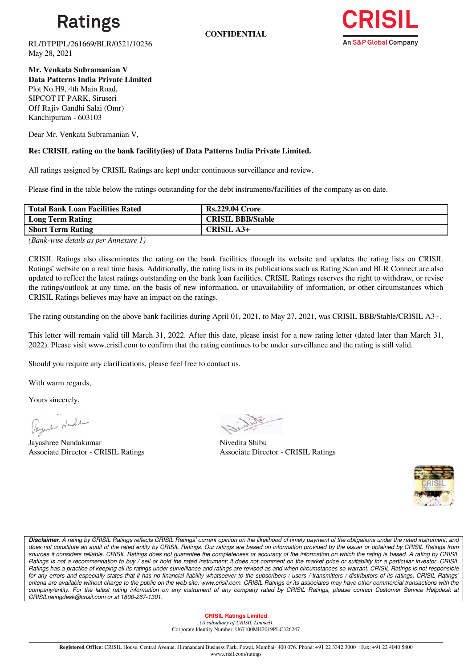

**CONFIDENTIAL**



RL/DTPIPL/261669/BLR/0521/10236 May 28, 2021

**Mr. Venkata Subramanian V Data Patterns India Private Limited** Plot No.H9, 4th Main Road, SIPCOT IT PARK, Siruseri Off Rajiv Gandhi Salai (Omr) Kanchipuram - 603103

Dear Mr. Venkata Subramanian V,

# **Re: CRISIL rating on the bank facility(ies) of Data Patterns India Private Limited.**

All ratings assigned by CRISIL Ratings are kept under continuous surveillance and review.

Please find in the table below the ratings outstanding for the debt instruments/facilities of the company as on date.

| Total Bank Loan Facilities Rated | <b>Rs.229.04 Crore</b>   |
|----------------------------------|--------------------------|
| <b>Long Term Rating</b>          | <b>CRISIL BBB/Stable</b> |
| <b>Short Term Rating</b>         | CRISIL A3+               |

*(Bank-wise details as per Annexure 1)*

CRISIL Ratings also disseminates the rating on the bank facilities through its website and updates the rating lists on CRISIL Ratings' website on a real time basis. Additionally, the rating lists in its publications such as Rating Scan and BLR Connect are also updated to reflect the latest ratings outstanding on the bank loan facilities. CRISIL Ratings reserves the right to withdraw, or revise the ratings/outlook at any time, on the basis of new information, or unavailability of information, or other circumstances which CRISIL Ratings believes may have an impact on the ratings.

The rating outstanding on the above bank facilities during April 01, 2021, to May 27, 2021, was CRISIL BBB/Stable/CRISIL A3+.

This letter will remain valid till March 31, 2022. After this date, please insist for a new rating letter (dated later than March 31, 2022). Please visit www.crisil.com to confirm that the rating continues to be under surveillance and the rating is still valid.

Should you require any clarifications, please feel free to contact us.

With warm regards,

Yours sincerely,

Tagant Norde

Jayashree Nandakumar Nivedita Shibu Associate Director - CRISIL Ratings

Associate Director - CRISIL Ratings



*Disclaimer: A rating by CRISIL Ratings reflects CRISIL Ratings' current opinion on the likelihood of timely payment of the obligations under the rated instrument, and does not constitute an audit of the rated entity by CRISIL Ratings. Our ratings are based on information provided by the issuer or obtained by CRISIL Ratings from sources it considers reliable. CRISIL Ratings does not guarantee the completeness or accuracy of the information on which the rating is based. A rating by CRISIL Ratings is not a recommendation to buy / sell or hold the rated instrument; it does not comment on the market price or suitability for a particular investor. CRISIL Ratings has a practice of keeping all its ratings under surveillance and ratings are revised as and when circumstances so warrant. CRISIL Ratings is not responsible for any errors and especially states that it has no financial liability whatsoever to the subscribers / users / transmitters / distributors of its ratings. CRISIL Ratings' criteria are available without charge to the public on the web site, www.crisil.com. CRISIL Ratings or its associates may have other commercial transactions with the*  company/entity. For the latest rating information on any instrument of any company rated by CRISIL Ratings, please contact Customer Service Helpdesk at *CRISILratingdesk@crisil.com or at 1800-267-1301.*

## **CRISIL Ratings Limited**

*(A subsidiary of CRISIL Limited)*  Corporate Identity Number: U67100MH2019PLC326247